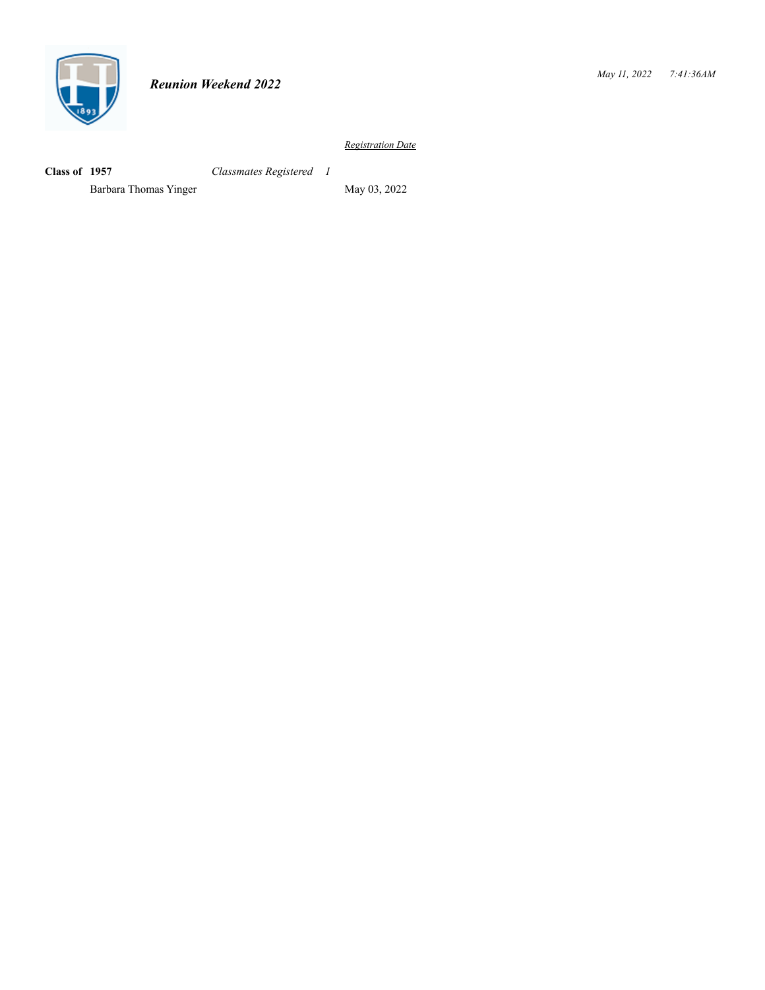

**Class of 1957** *Classmates Registered 1*

Barbara Thomas Yinger May 03, 2022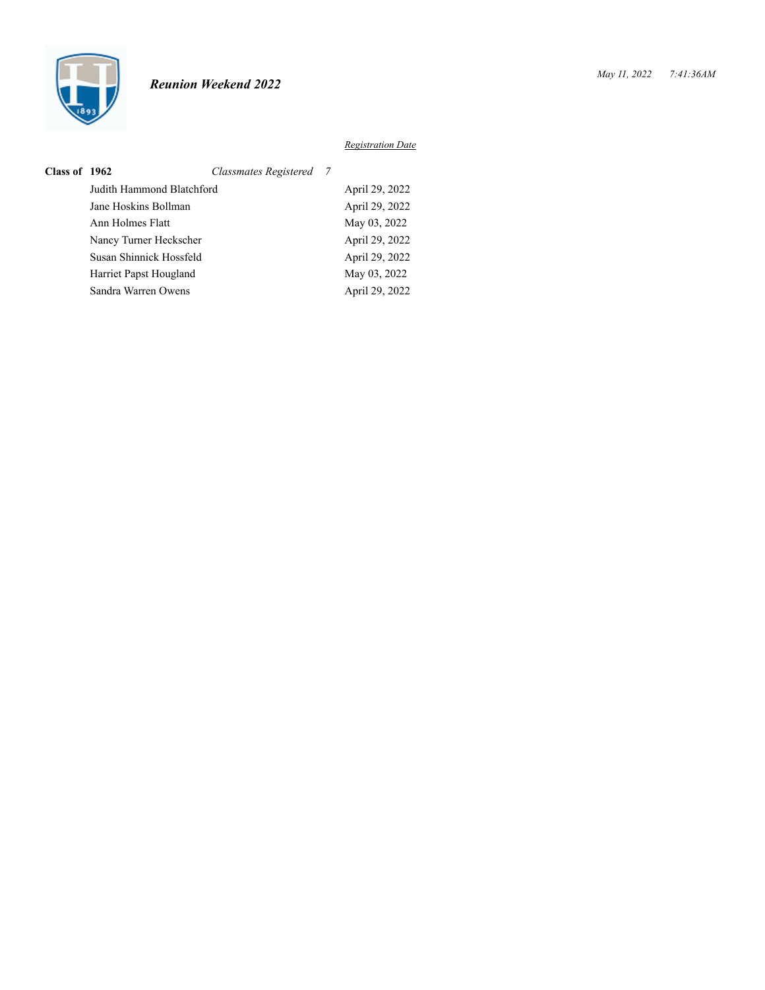

| Class of 1962 |                           | Classmates Registered 7 |                |
|---------------|---------------------------|-------------------------|----------------|
|               | Judith Hammond Blatchford |                         | April 29, 2022 |
|               | Jane Hoskins Bollman      |                         | April 29, 2022 |
|               | Ann Holmes Flatt          |                         | May 03, 2022   |
|               | Nancy Turner Heckscher    |                         | April 29, 2022 |
|               | Susan Shinnick Hossfeld   |                         | April 29, 2022 |
|               | Harriet Papst Hougland    |                         | May 03, 2022   |
|               | Sandra Warren Owens       |                         | April 29, 2022 |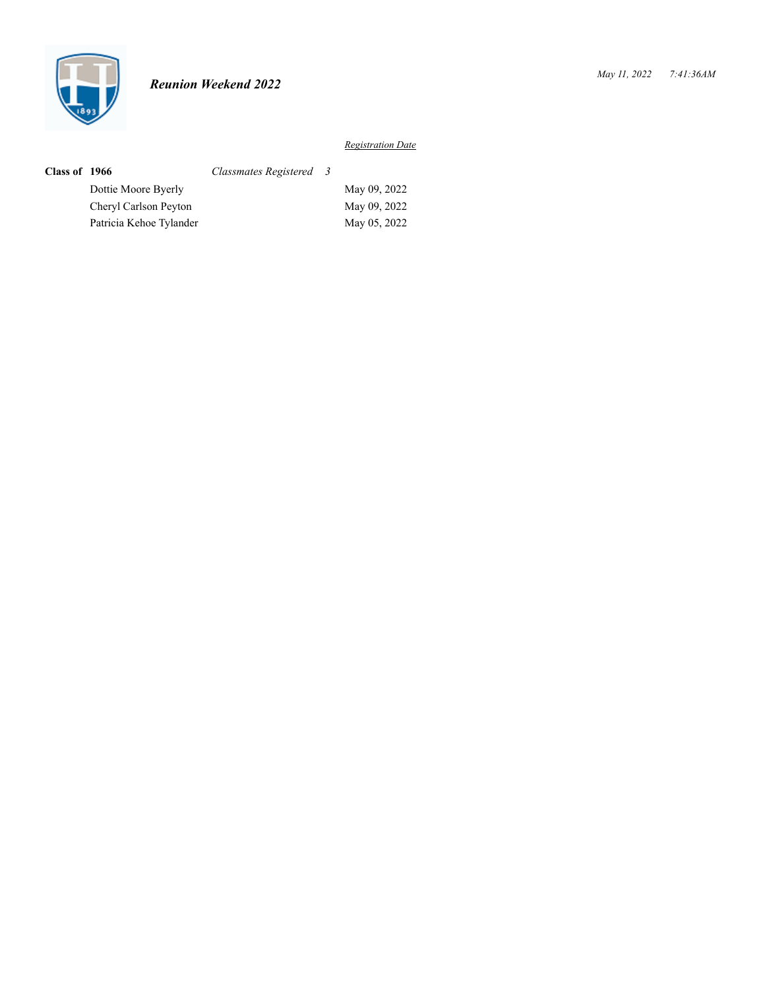

| Class of 1966 |                         | Classmates Registered 3 |              |
|---------------|-------------------------|-------------------------|--------------|
|               | Dottie Moore Byerly     |                         | May 09, 2022 |
|               | Cheryl Carlson Peyton   |                         | May 09, 2022 |
|               | Patricia Kehoe Tylander |                         | May 05, 2022 |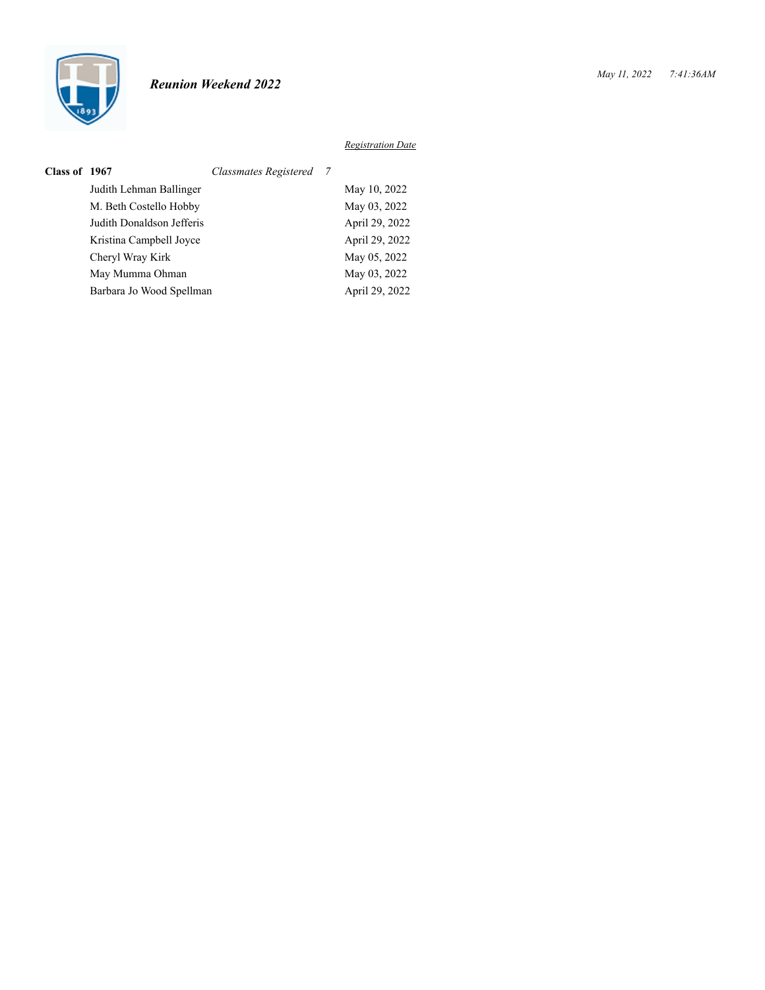

| Class of 1967 |                           | Classmates Registered 7 |                |
|---------------|---------------------------|-------------------------|----------------|
|               | Judith Lehman Ballinger   |                         | May 10, 2022   |
|               | M. Beth Costello Hobby    |                         | May 03, 2022   |
|               | Judith Donaldson Jefferis |                         | April 29, 2022 |
|               | Kristina Campbell Joyce   |                         | April 29, 2022 |
|               | Cheryl Wray Kirk          |                         | May 05, 2022   |
|               | May Mumma Ohman           |                         | May 03, 2022   |
|               | Barbara Jo Wood Spellman  |                         | April 29, 2022 |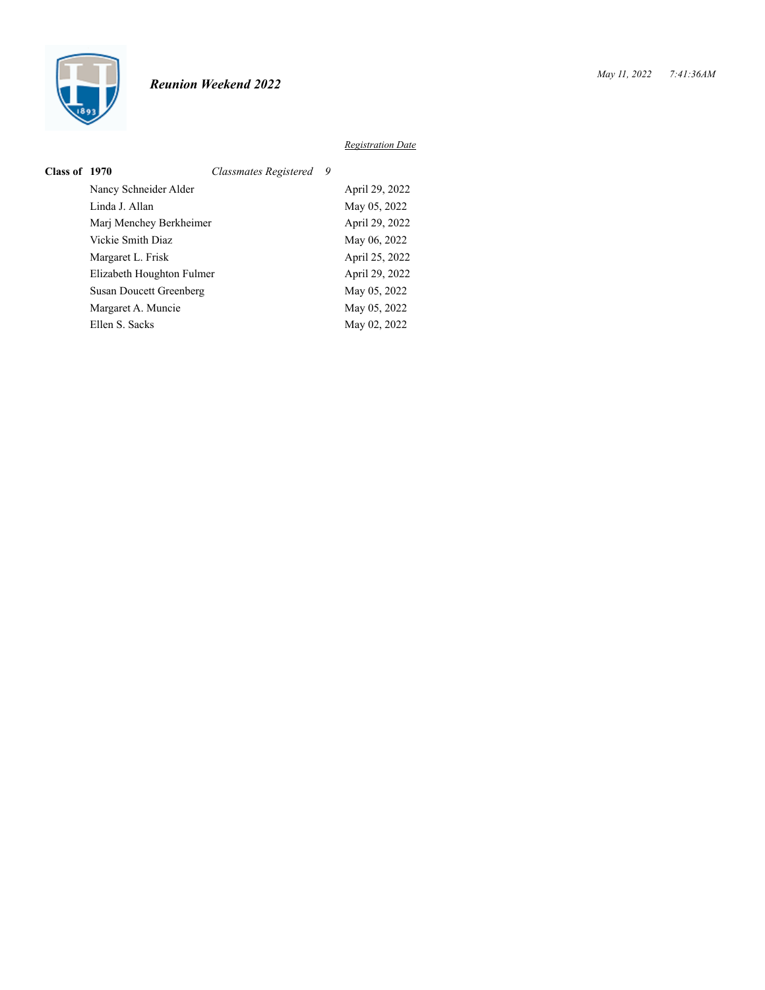

| Class of 1970 |                           | Classmates Registered 9 |                |
|---------------|---------------------------|-------------------------|----------------|
|               | Nancy Schneider Alder     |                         | April 29, 2022 |
|               | Linda J. Allan            |                         | May 05, 2022   |
|               | Marj Menchey Berkheimer   |                         | April 29, 2022 |
|               | Vickie Smith Diaz         |                         | May 06, 2022   |
|               | Margaret L. Frisk         |                         | April 25, 2022 |
|               | Elizabeth Houghton Fulmer |                         | April 29, 2022 |
|               | Susan Doucett Greenberg   |                         | May 05, 2022   |
|               | Margaret A. Muncie        |                         | May 05, 2022   |
|               | Ellen S. Sacks            |                         | May 02, 2022   |
|               |                           |                         |                |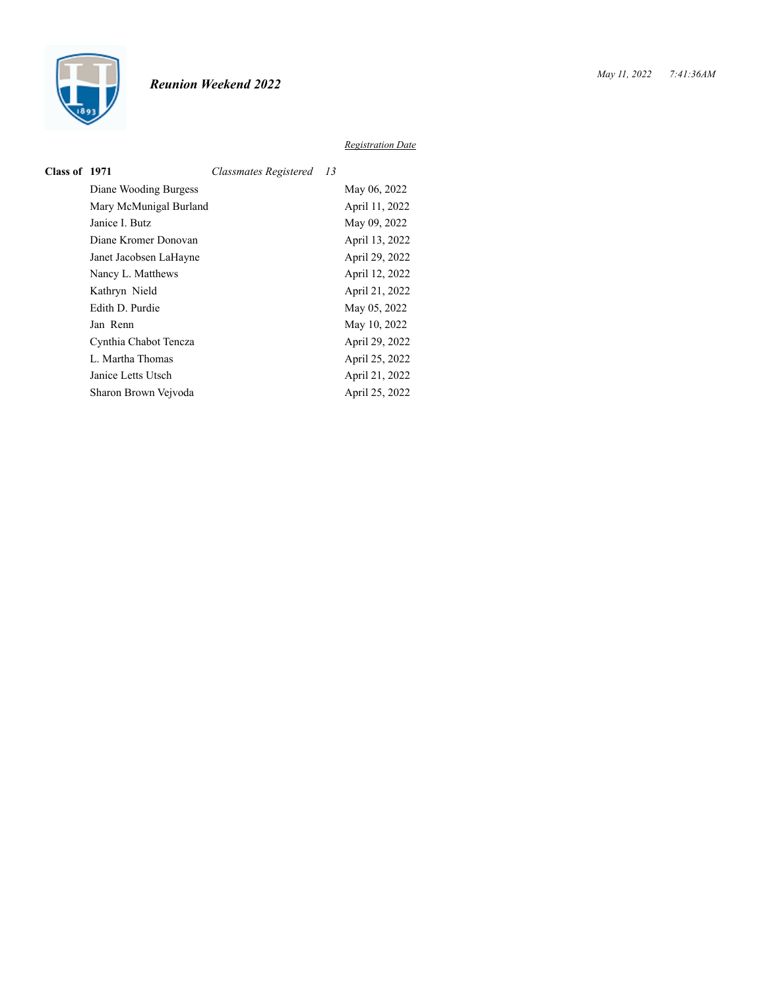

| Class of 1971 |                        | Classmates Registered | - 13 |                |
|---------------|------------------------|-----------------------|------|----------------|
|               | Diane Wooding Burgess  |                       |      | May 06, 2022   |
|               | Mary McMunigal Burland |                       |      | April 11, 2022 |
|               | Janice I. Butz         |                       |      | May 09, 2022   |
|               | Diane Kromer Donovan   |                       |      | April 13, 2022 |
|               | Janet Jacobsen LaHayne |                       |      | April 29, 2022 |
|               | Nancy L. Matthews      |                       |      | April 12, 2022 |
|               | Kathryn Nield          |                       |      | April 21, 2022 |
|               | Edith D. Purdie        |                       |      | May 05, 2022   |
|               | Jan Renn               |                       |      | May 10, 2022   |
|               | Cynthia Chabot Tencza  |                       |      | April 29, 2022 |
|               | L. Martha Thomas       |                       |      | April 25, 2022 |
|               | Janice Letts Utsch     |                       |      | April 21, 2022 |
|               | Sharon Brown Vejvoda   |                       |      | April 25, 2022 |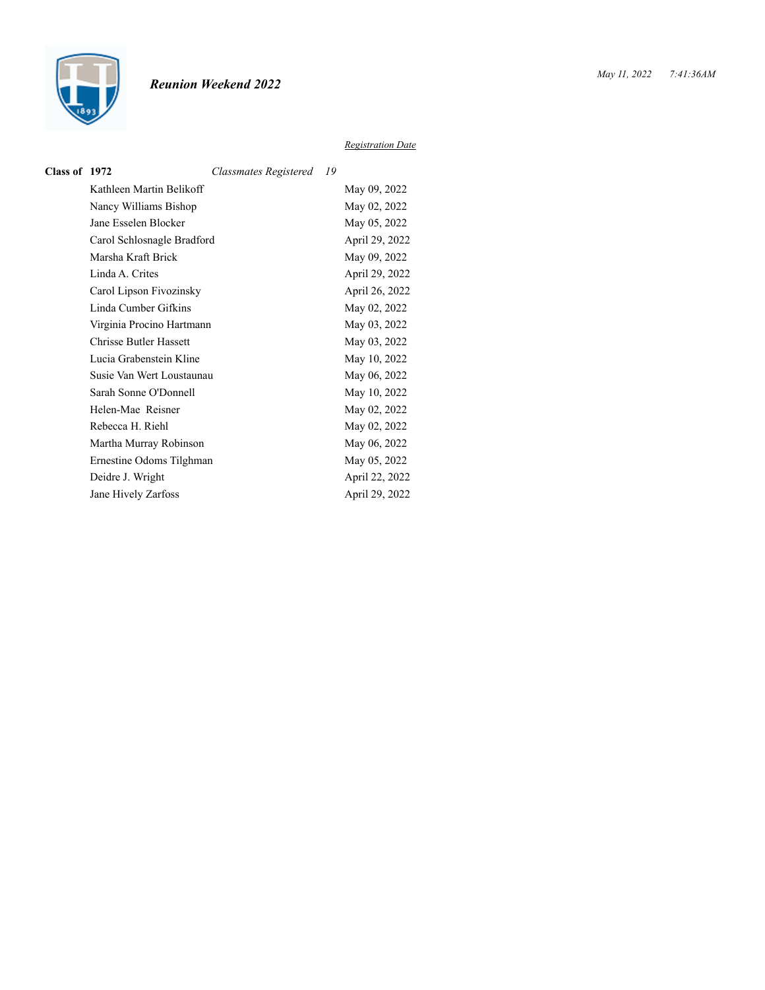

| Class of 1972 |                               | Classmates Registered 19 |                |
|---------------|-------------------------------|--------------------------|----------------|
|               | Kathleen Martin Belikoff      |                          | May 09, 2022   |
|               | Nancy Williams Bishop         |                          | May 02, 2022   |
|               | Jane Esselen Blocker          |                          | May 05, 2022   |
|               | Carol Schlosnagle Bradford    |                          | April 29, 2022 |
|               | Marsha Kraft Brick            |                          | May 09, 2022   |
|               | Linda A. Crites               |                          | April 29, 2022 |
|               | Carol Lipson Fivozinsky       |                          | April 26, 2022 |
|               | Linda Cumber Gifkins          |                          | May 02, 2022   |
|               | Virginia Procino Hartmann     |                          | May 03, 2022   |
|               | <b>Chrisse Butler Hassett</b> |                          | May 03, 2022   |
|               | Lucia Grabenstein Kline       |                          | May 10, 2022   |
|               | Susie Van Wert Loustaunau     |                          | May 06, 2022   |
|               | Sarah Sonne O'Donnell         |                          | May 10, 2022   |
|               | Helen-Mae Reisner             |                          | May 02, 2022   |
|               | Rebecca H. Riehl              |                          | May 02, 2022   |
|               | Martha Murray Robinson        |                          | May 06, 2022   |
|               | Ernestine Odoms Tilghman      |                          | May 05, 2022   |
|               | Deidre J. Wright              |                          | April 22, 2022 |
|               | Jane Hively Zarfoss           |                          | April 29, 2022 |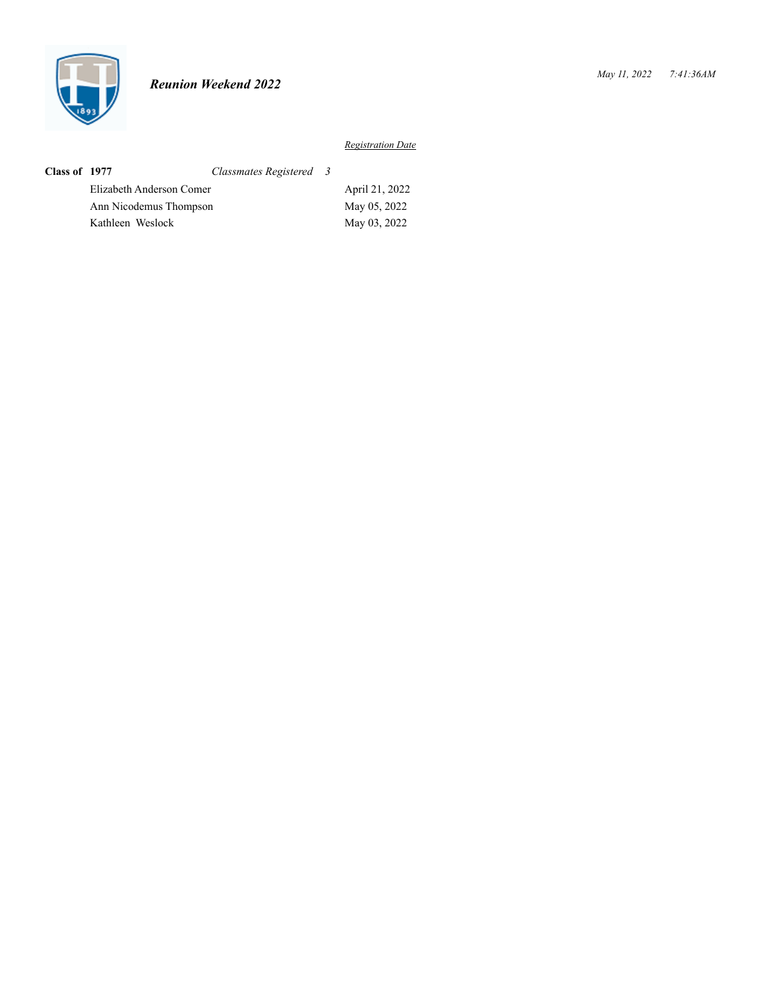

| Class of 1977 |                          | Classmates Registered 3 |                |
|---------------|--------------------------|-------------------------|----------------|
|               | Elizabeth Anderson Comer |                         | April 21, 2022 |
|               | Ann Nicodemus Thompson   |                         | May 05, 2022   |
|               | Kathleen Weslock         |                         | May 03, 2022   |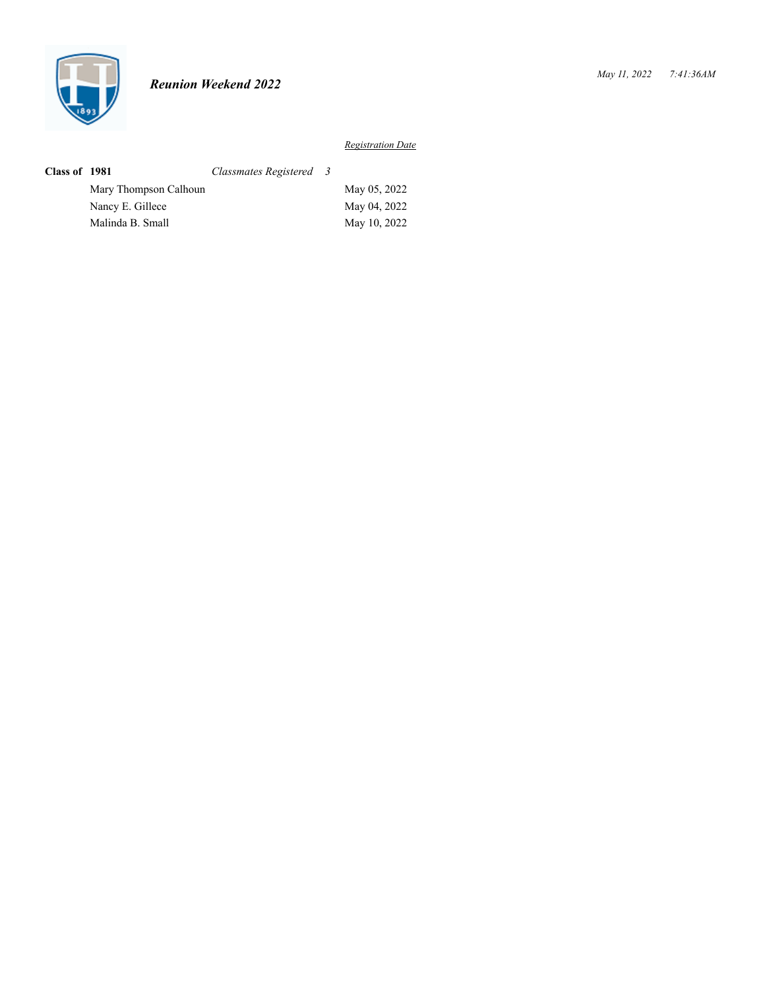

| Class of 1981 |                       | Classmates Registered 3 |              |
|---------------|-----------------------|-------------------------|--------------|
|               | Mary Thompson Calhoun |                         | May 05, 2022 |
|               | Nancy E. Gillece      |                         | May 04, 2022 |
|               | Malinda B. Small      |                         | May 10, 2022 |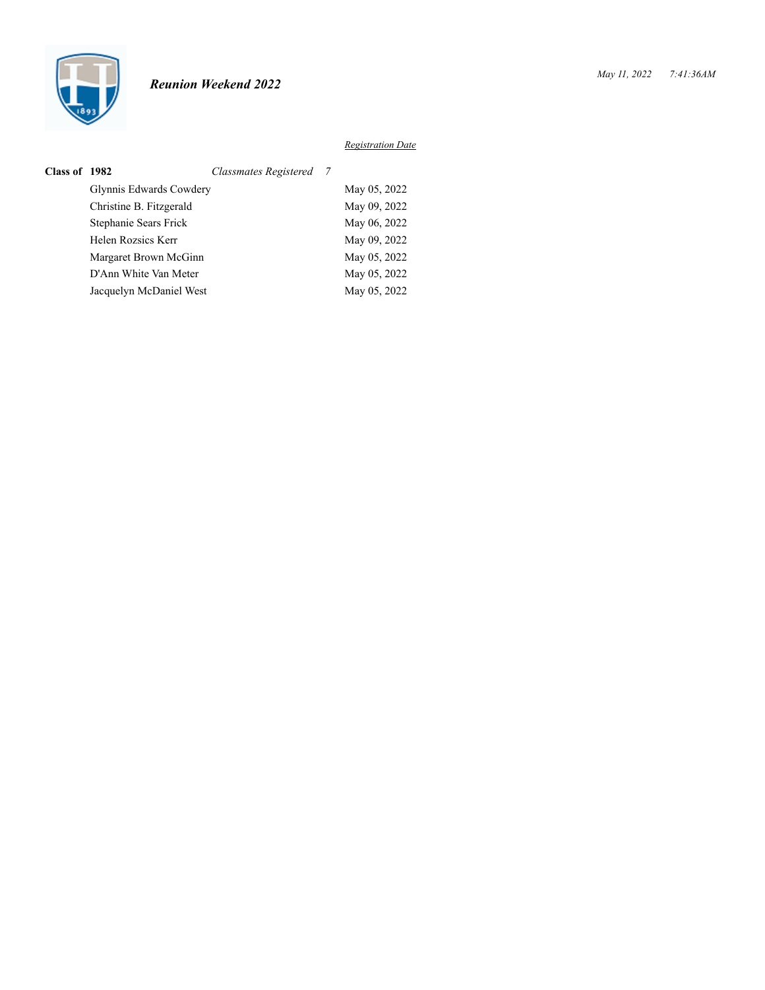

| Class of 1982 |                         | Classmates Registered 7 |              |
|---------------|-------------------------|-------------------------|--------------|
|               | Glynnis Edwards Cowdery |                         | May 05, 2022 |
|               | Christine B. Fitzgerald |                         | May 09, 2022 |
|               | Stephanie Sears Frick   |                         | May 06, 2022 |
|               | Helen Rozsics Kerr      |                         | May 09, 2022 |
|               | Margaret Brown McGinn   |                         | May 05, 2022 |
|               | D'Ann White Van Meter   |                         | May 05, 2022 |
|               | Jacquelyn McDaniel West |                         | May 05, 2022 |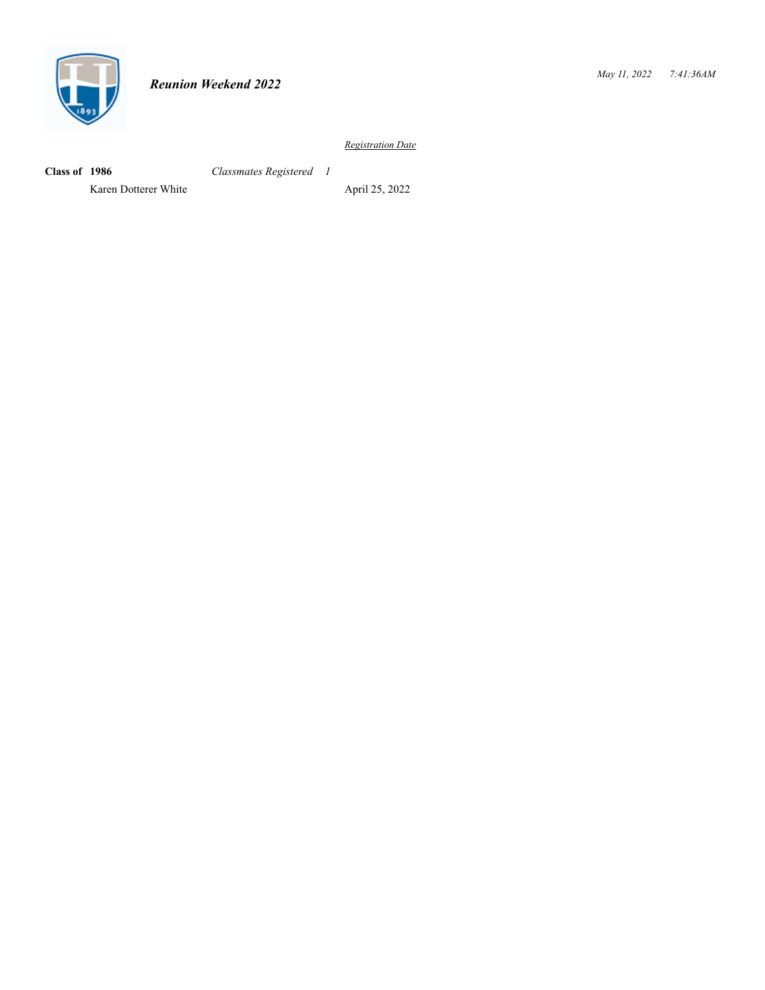

**Class of 1986** *Classmates Registered 1*

Karen Dotterer White April 25, 2022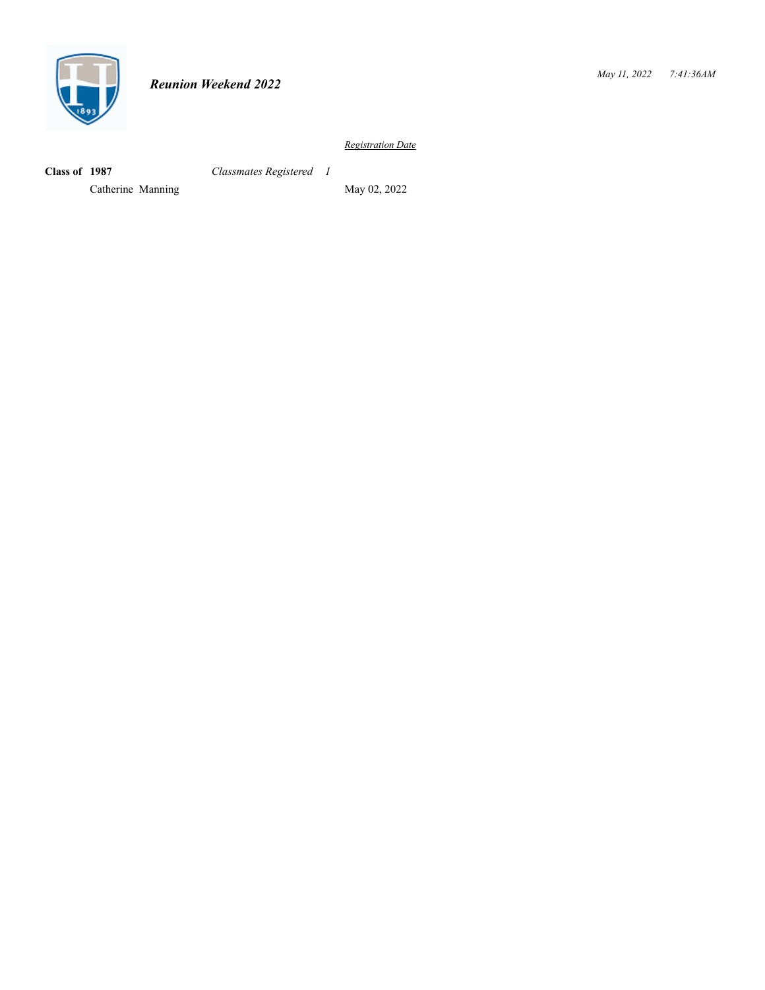

**Class of 1987** *Classmates Registered 1*

Catherine Manning May 02, 2022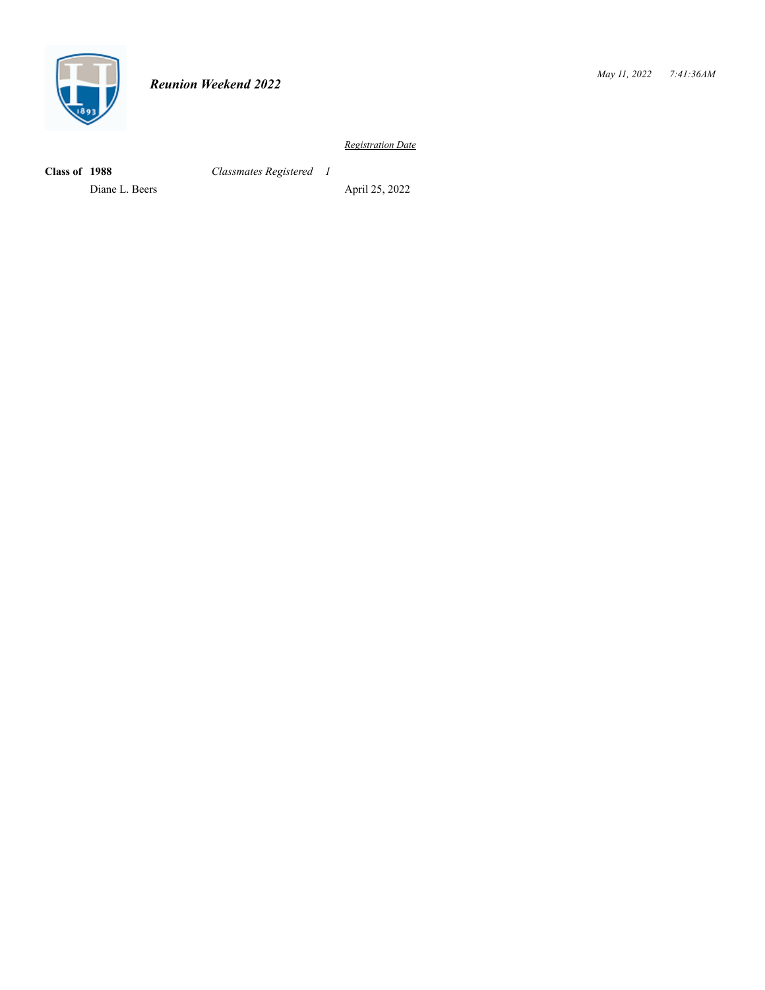

**Class of 1988** *Classmates Registered 1*

Diane L. Beers April 25, 2022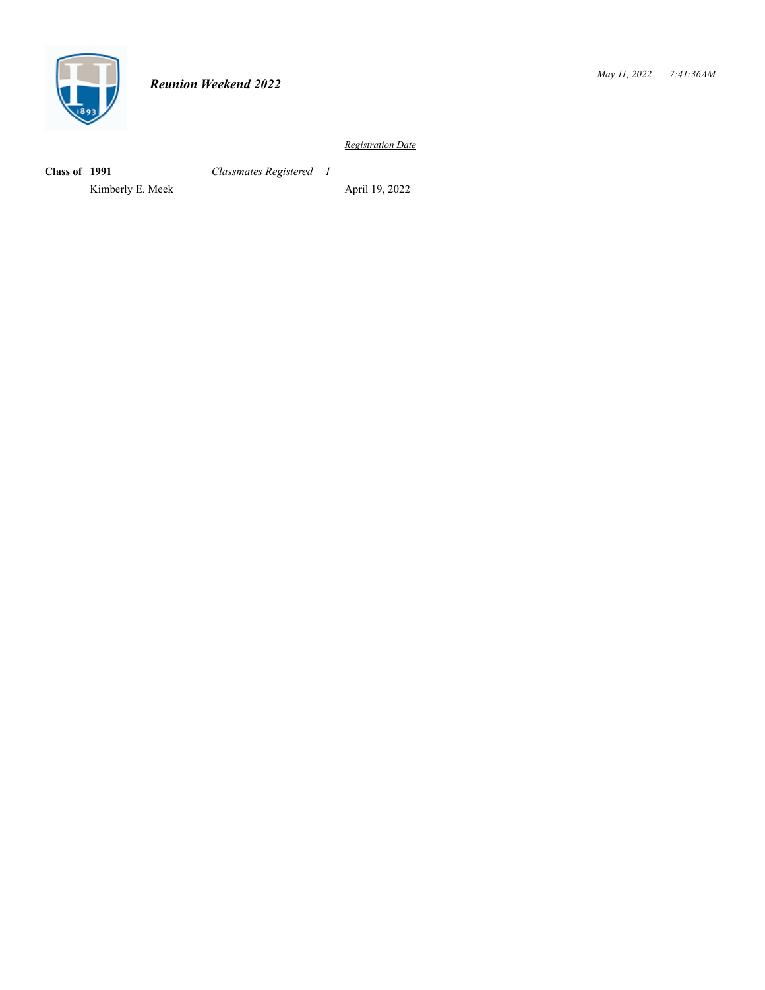

**Class of 1991** *Classmates Registered 1*

Kimberly E. Meek April 19, 2022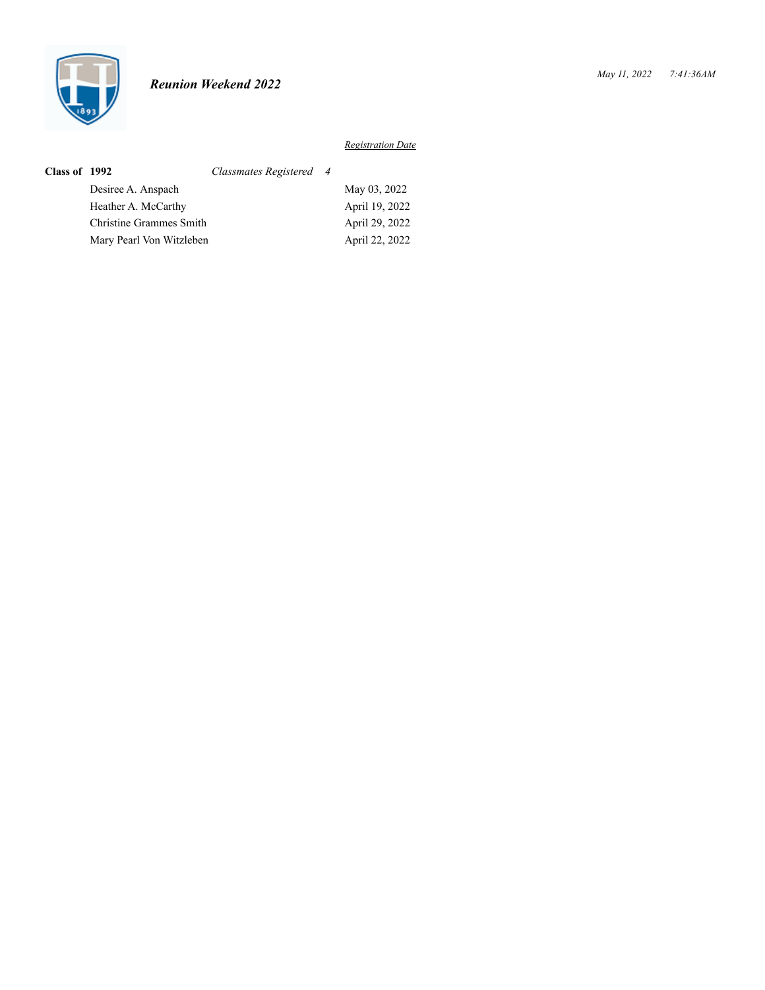

| <b>Class of 1992</b> |                          | Classmates Registered 4 |                |
|----------------------|--------------------------|-------------------------|----------------|
|                      | Desiree A. Anspach       |                         | May 03, 2022   |
|                      | Heather A. McCarthy      |                         | April 19, 2022 |
|                      | Christine Grammes Smith  |                         | April 29, 2022 |
|                      | Mary Pearl Von Witzleben |                         | April 22, 2022 |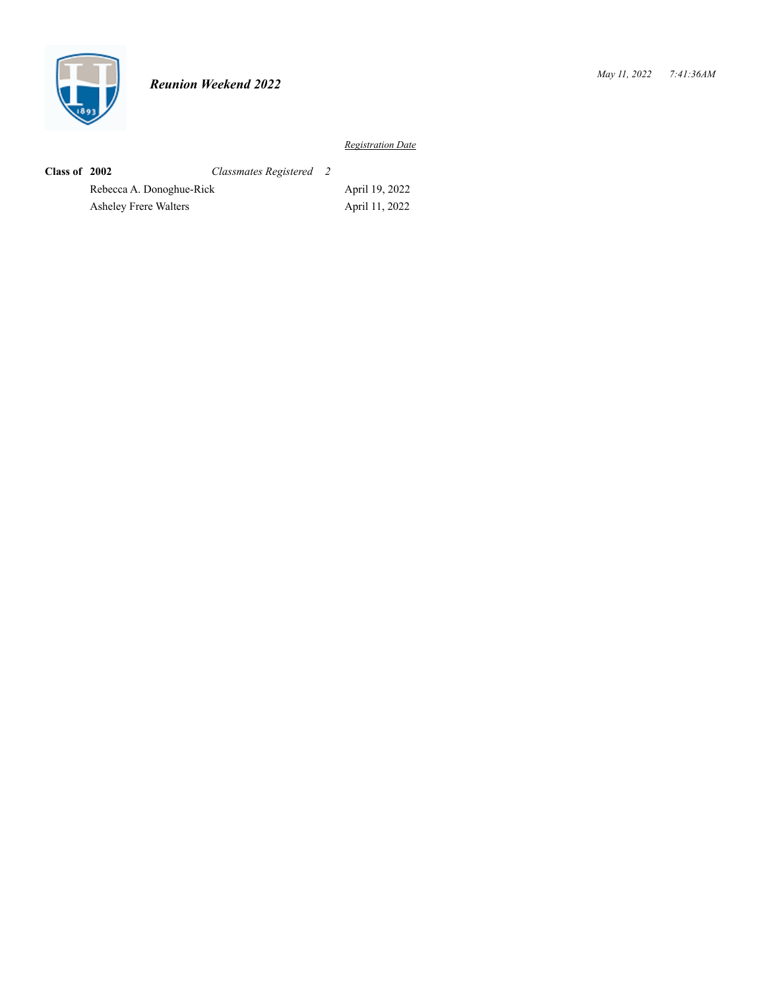

| Class of 2002 |                          | Classmates Registered 2 |                |
|---------------|--------------------------|-------------------------|----------------|
|               | Rebecca A. Donoghue-Rick |                         | April 19, 2022 |
|               | Asheley Frere Walters    |                         | April 11, 2022 |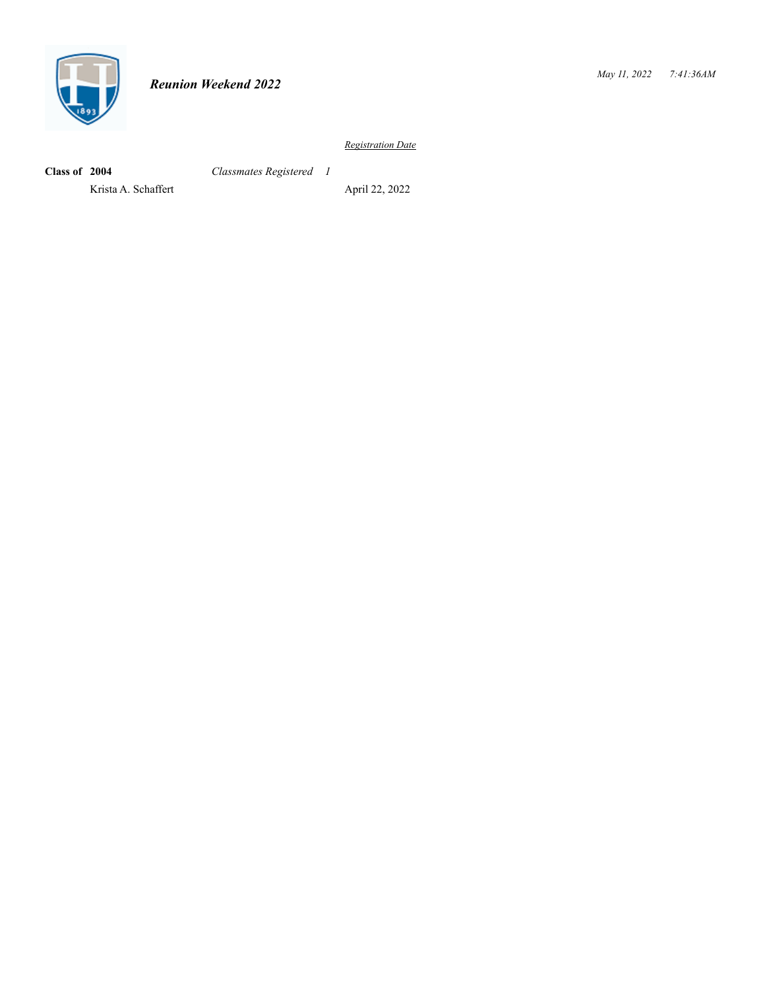

**Class of 2004** *Classmates Registered 1*

Krista A. Schaffert April 22, 2022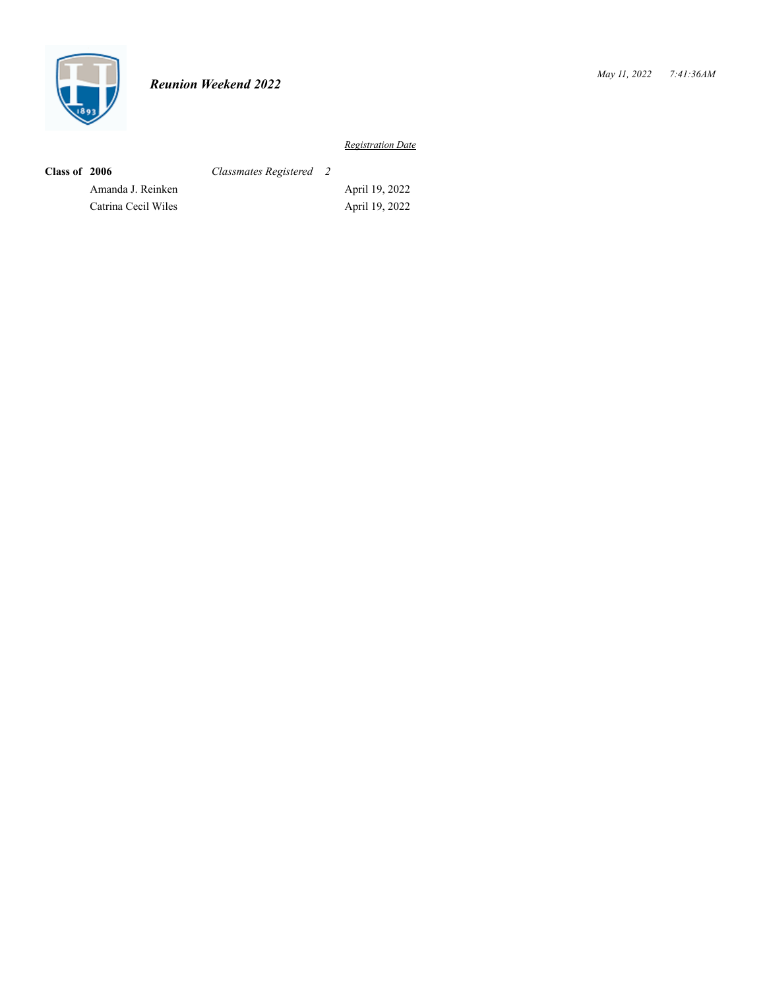

| Class of 2006 |                     | Classmates Registered 2 |                |
|---------------|---------------------|-------------------------|----------------|
|               | Amanda J. Reinken   |                         | April 19, 2022 |
|               | Catrina Cecil Wiles |                         | April 19, 2022 |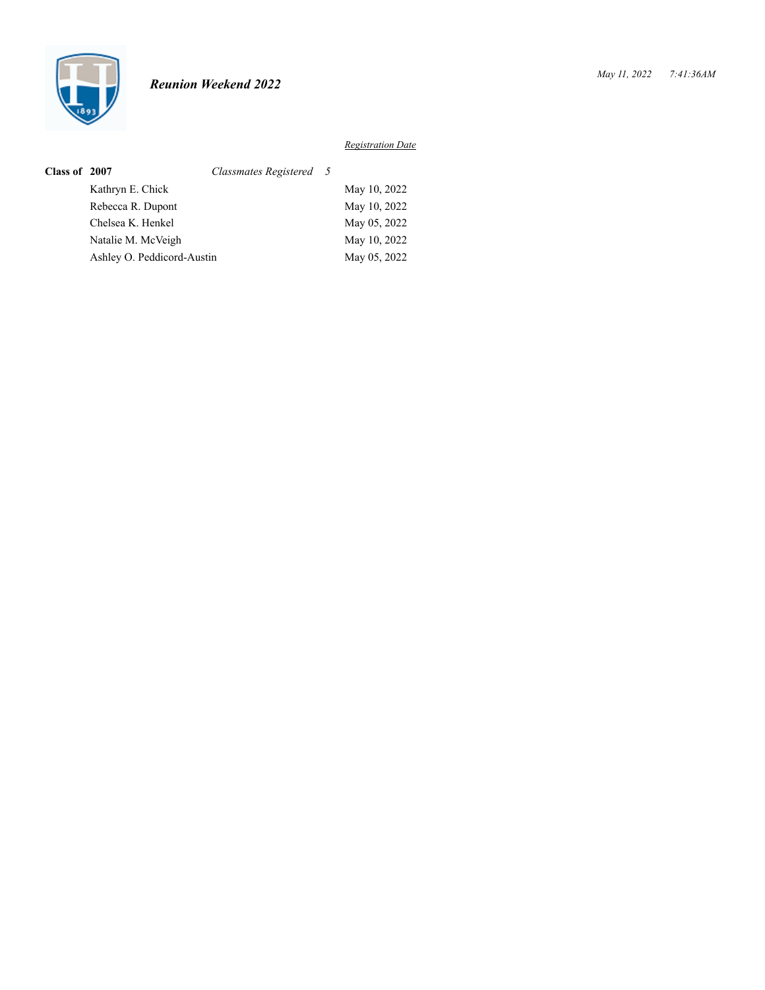

| Class of 2007 |                            | Classmates Registered 5 |              |
|---------------|----------------------------|-------------------------|--------------|
|               | Kathryn E. Chick           |                         | May 10, 2022 |
|               | Rebecca R. Dupont          |                         | May 10, 2022 |
|               | Chelsea K. Henkel          |                         | May 05, 2022 |
|               | Natalie M. McVeigh         |                         | May 10, 2022 |
|               | Ashley O. Peddicord-Austin |                         | May 05, 2022 |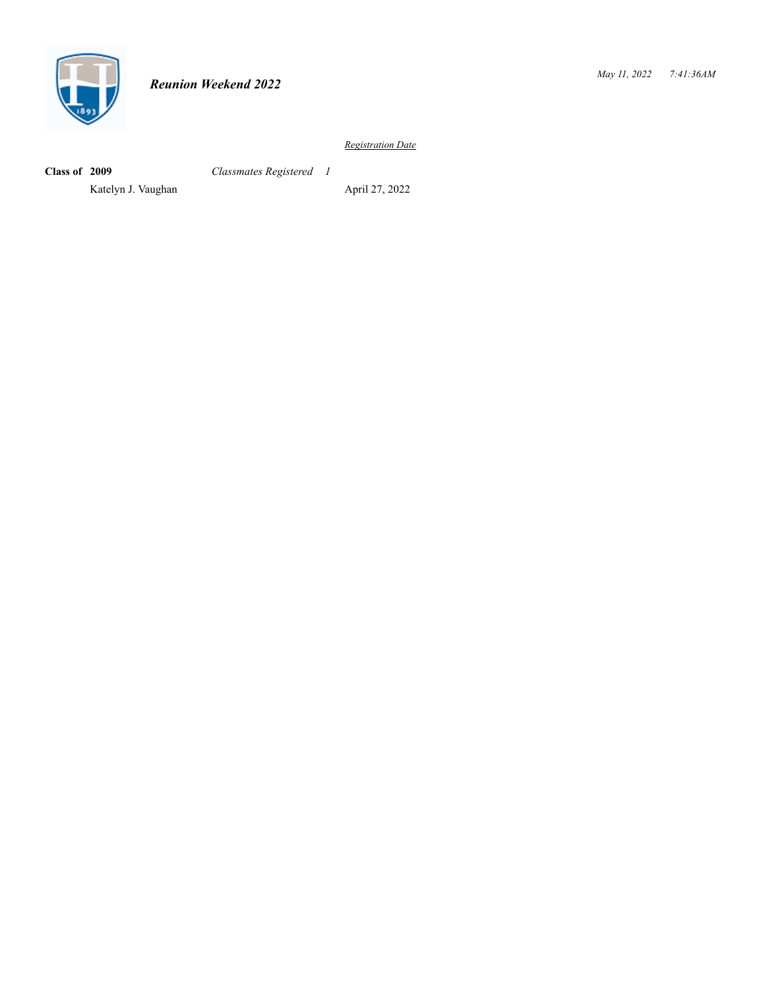

**Class of 2009** *Classmates Registered 1*

Katelyn J. Vaughan April 27, 2022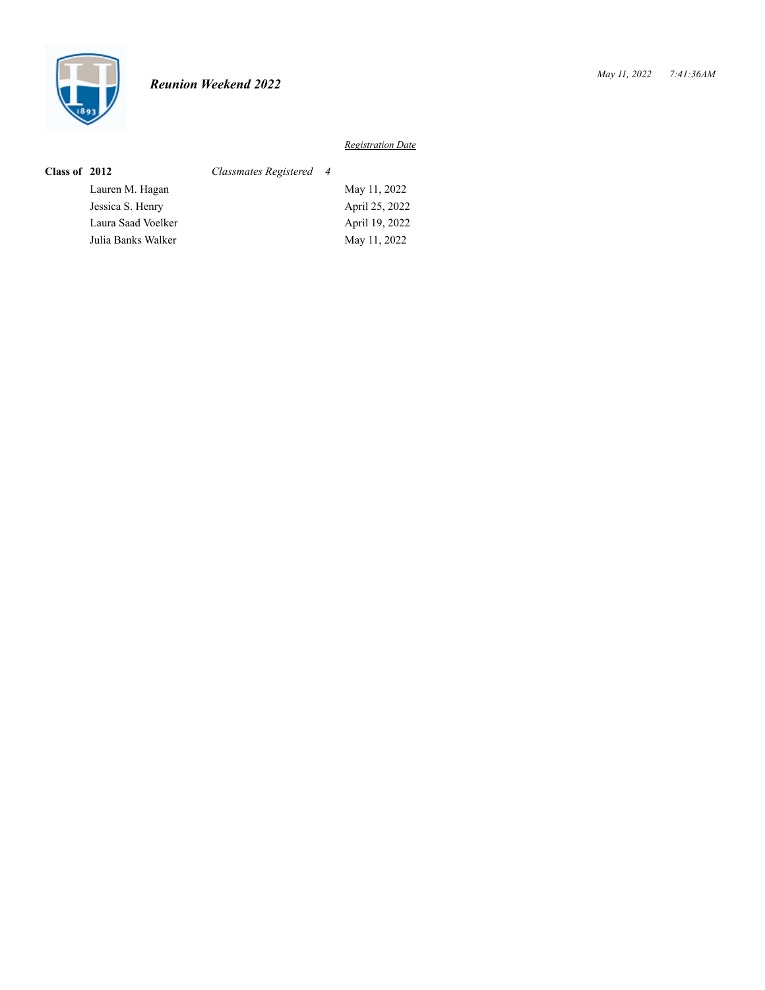

| Class of 2012 |                    | Classmates Registered 4 |                |
|---------------|--------------------|-------------------------|----------------|
|               | Lauren M. Hagan    |                         | May 11, 2022   |
|               | Jessica S. Henry   |                         | April 25, 2022 |
|               | Laura Saad Voelker |                         | April 19, 2022 |
|               | Julia Banks Walker |                         | May 11, 2022   |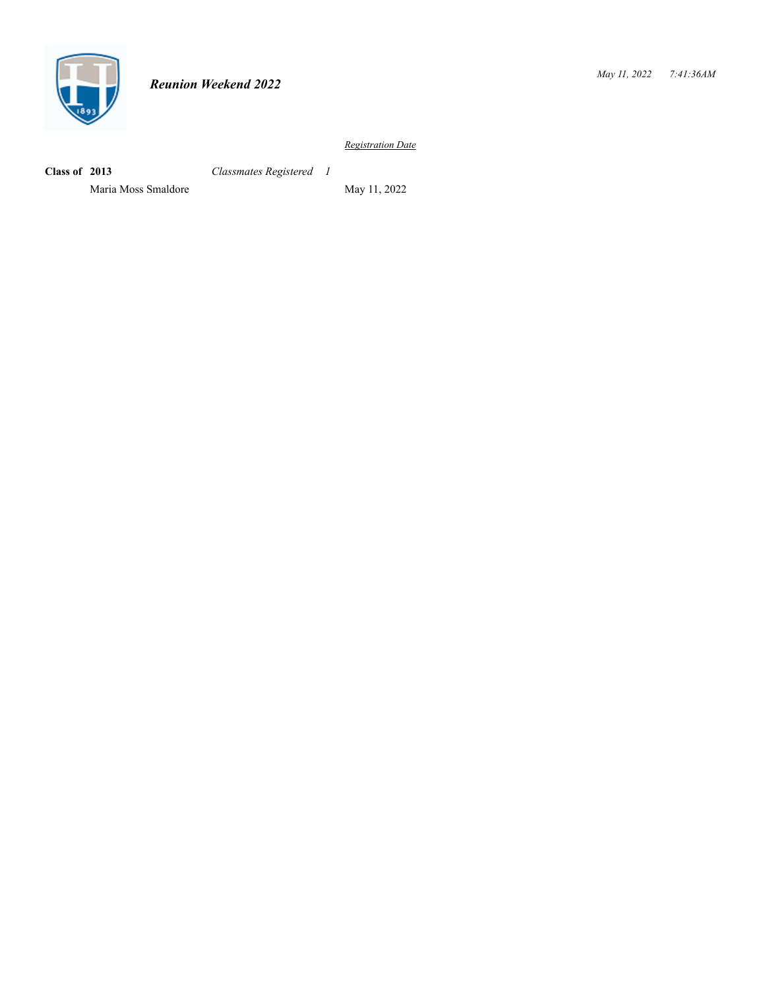

**Class of 2013** *Classmates Registered 1*

Maria Moss Smaldore May 11, 2022